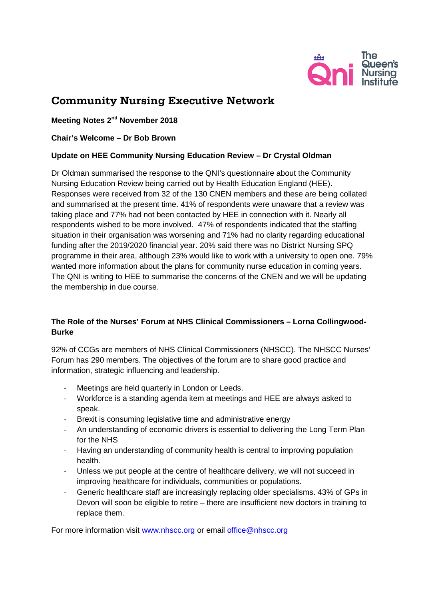

# **Community Nursing Executive Network**

**Meeting Notes 2nd November 2018**

**Chair's Welcome – Dr Bob Brown** 

## **Update on HEE Community Nursing Education Review – Dr Crystal Oldman**

Dr Oldman summarised the response to the QNI's questionnaire about the Community Nursing Education Review being carried out by Health Education England (HEE). Responses were received from 32 of the 130 CNEN members and these are being collated and summarised at the present time. 41% of respondents were unaware that a review was taking place and 77% had not been contacted by HEE in connection with it. Nearly all respondents wished to be more involved. 47% of respondents indicated that the staffing situation in their organisation was worsening and 71% had no clarity regarding educational funding after the 2019/2020 financial year. 20% said there was no District Nursing SPQ programme in their area, although 23% would like to work with a university to open one. 79% wanted more information about the plans for community nurse education in coming years. The QNI is writing to HEE to summarise the concerns of the CNEN and we will be updating the membership in due course.

# **The Role of the Nurses' Forum at NHS Clinical Commissioners – Lorna Collingwood-Burke**

92% of CCGs are members of NHS Clinical Commissioners (NHSCC). The NHSCC Nurses' Forum has 290 members. The objectives of the forum are to share good practice and information, strategic influencing and leadership.

- Meetings are held quarterly in London or Leeds.
- Workforce is a standing agenda item at meetings and HEE are always asked to speak.
- Brexit is consuming legislative time and administrative energy
- An understanding of economic drivers is essential to delivering the Long Term Plan for the NHS
- Having an understanding of community health is central to improving population health.
- Unless we put people at the centre of healthcare delivery, we will not succeed in improving healthcare for individuals, communities or populations.
- Generic healthcare staff are increasingly replacing older specialisms. 43% of GPs in Devon will soon be eligible to retire – there are insufficient new doctors in training to replace them.

For more information visit [www.nhscc.org](http://www.nhscc.org/) or email [office@nhscc.org](mailto:office@nhscc.org)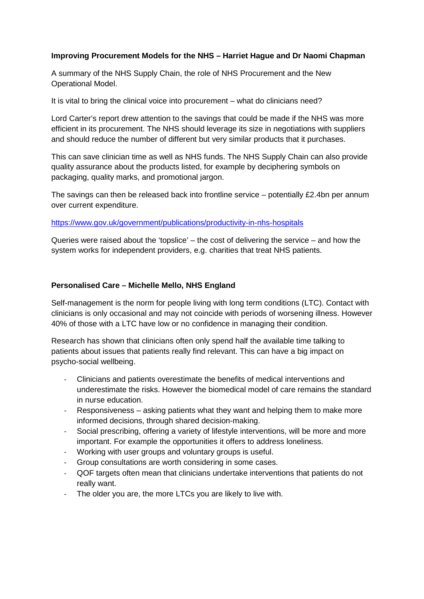## **Improving Procurement Models for the NHS – Harriet Hague and Dr Naomi Chapman**

A summary of the NHS Supply Chain, the role of NHS Procurement and the New Operational Model.

It is vital to bring the clinical voice into procurement – what do clinicians need?

Lord Carter's report drew attention to the savings that could be made if the NHS was more efficient in its procurement. The NHS should leverage its size in negotiations with suppliers and should reduce the number of different but very similar products that it purchases.

This can save clinician time as well as NHS funds. The NHS Supply Chain can also provide quality assurance about the products listed, for example by deciphering symbols on packaging, quality marks, and promotional jargon.

The savings can then be released back into frontline service – potentially £2.4bn per annum over current expenditure.

#### <https://www.gov.uk/government/publications/productivity-in-nhs-hospitals>

Queries were raised about the 'topslice' – the cost of delivering the service – and how the system works for independent providers, e.g. charities that treat NHS patients.

#### **Personalised Care – Michelle Mello, NHS England**

Self-management is the norm for people living with long term conditions (LTC). Contact with clinicians is only occasional and may not coincide with periods of worsening illness. However 40% of those with a LTC have low or no confidence in managing their condition.

Research has shown that clinicians often only spend half the available time talking to patients about issues that patients really find relevant. This can have a big impact on psycho-social wellbeing.

- Clinicians and patients overestimate the benefits of medical interventions and underestimate the risks. However the biomedical model of care remains the standard in nurse education.
- Responsiveness asking patients what they want and helping them to make more informed decisions, through shared decision-making.
- Social prescribing, offering a variety of lifestyle interventions, will be more and more important. For example the opportunities it offers to address loneliness.
- Working with user groups and voluntary groups is useful.
- Group consultations are worth considering in some cases.
- QOF targets often mean that clinicians undertake interventions that patients do not really want.
- The older you are, the more LTCs you are likely to live with.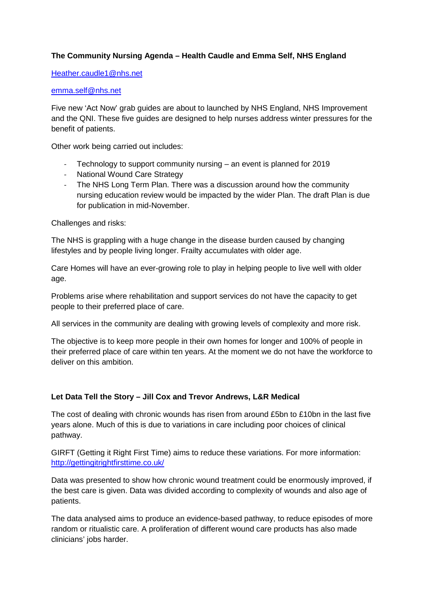# **The Community Nursing Agenda – Health Caudle and Emma Self, NHS England**

#### [Heather.caudle1@nhs.net](mailto:Heather.caudle1@nhs.net)

#### [emma.self@nhs.net](mailto:emma.self@nhs.net)

Five new 'Act Now' grab guides are about to launched by NHS England, NHS Improvement and the QNI. These five guides are designed to help nurses address winter pressures for the benefit of patients.

Other work being carried out includes:

- Technology to support community nursing an event is planned for 2019
- National Wound Care Strategy
- The NHS Long Term Plan. There was a discussion around how the community nursing education review would be impacted by the wider Plan. The draft Plan is due for publication in mid-November.

Challenges and risks:

The NHS is grappling with a huge change in the disease burden caused by changing lifestyles and by people living longer. Frailty accumulates with older age.

Care Homes will have an ever-growing role to play in helping people to live well with older age.

Problems arise where rehabilitation and support services do not have the capacity to get people to their preferred place of care.

All services in the community are dealing with growing levels of complexity and more risk.

The objective is to keep more people in their own homes for longer and 100% of people in their preferred place of care within ten years. At the moment we do not have the workforce to deliver on this ambition.

#### **Let Data Tell the Story – Jill Cox and Trevor Andrews, L&R Medical**

The cost of dealing with chronic wounds has risen from around £5bn to £10bn in the last five years alone. Much of this is due to variations in care including poor choices of clinical pathway.

GIRFT (Getting it Right First Time) aims to reduce these variations. For more information: <http://gettingitrightfirsttime.co.uk/>

Data was presented to show how chronic wound treatment could be enormously improved, if the best care is given. Data was divided according to complexity of wounds and also age of patients.

The data analysed aims to produce an evidence-based pathway, to reduce episodes of more random or ritualistic care. A proliferation of different wound care products has also made clinicians' jobs harder.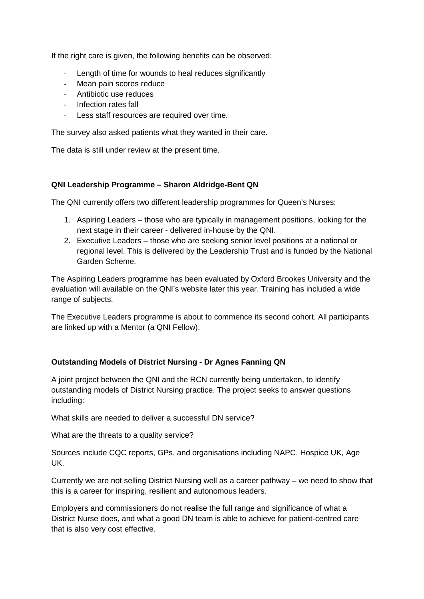If the right care is given, the following benefits can be observed:

- Length of time for wounds to heal reduces significantly
- Mean pain scores reduce
- Antibiotic use reduces
- Infection rates fall
- Less staff resources are required over time.

The survey also asked patients what they wanted in their care.

The data is still under review at the present time.

## **QNI Leadership Programme – Sharon Aldridge-Bent QN**

The QNI currently offers two different leadership programmes for Queen's Nurses:

- 1. Aspiring Leaders those who are typically in management positions, looking for the next stage in their career - delivered in-house by the QNI.
- 2. Executive Leaders those who are seeking senior level positions at a national or regional level. This is delivered by the Leadership Trust and is funded by the National Garden Scheme.

The Aspiring Leaders programme has been evaluated by Oxford Brookes University and the evaluation will available on the QNI's website later this year. Training has included a wide range of subjects.

The Executive Leaders programme is about to commence its second cohort. All participants are linked up with a Mentor (a QNI Fellow).

# **Outstanding Models of District Nursing - Dr Agnes Fanning QN**

A joint project between the QNI and the RCN currently being undertaken, to identify outstanding models of District Nursing practice. The project seeks to answer questions including:

What skills are needed to deliver a successful DN service?

What are the threats to a quality service?

Sources include CQC reports, GPs, and organisations including NAPC, Hospice UK, Age UK.

Currently we are not selling District Nursing well as a career pathway – we need to show that this is a career for inspiring, resilient and autonomous leaders.

Employers and commissioners do not realise the full range and significance of what a District Nurse does, and what a good DN team is able to achieve for patient-centred care that is also very cost effective.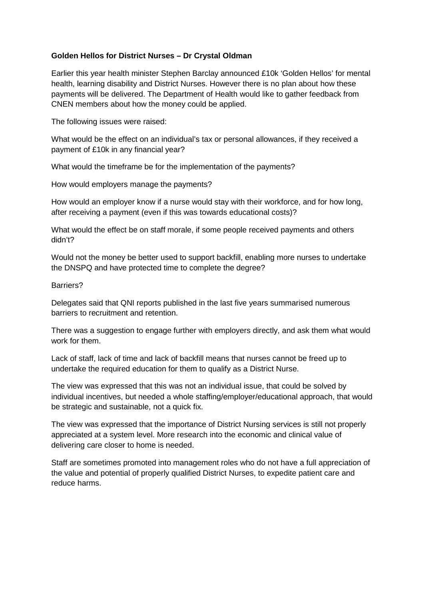## **Golden Hellos for District Nurses – Dr Crystal Oldman**

Earlier this year health minister Stephen Barclay announced £10k 'Golden Hellos' for mental health, learning disability and District Nurses. However there is no plan about how these payments will be delivered. The Department of Health would like to gather feedback from CNEN members about how the money could be applied.

The following issues were raised:

What would be the effect on an individual's tax or personal allowances, if they received a payment of £10k in any financial year?

What would the timeframe be for the implementation of the payments?

How would employers manage the payments?

How would an employer know if a nurse would stay with their workforce, and for how long, after receiving a payment (even if this was towards educational costs)?

What would the effect be on staff morale, if some people received payments and others didn't?

Would not the money be better used to support backfill, enabling more nurses to undertake the DNSPQ and have protected time to complete the degree?

Barriers?

Delegates said that QNI reports published in the last five years summarised numerous barriers to recruitment and retention.

There was a suggestion to engage further with employers directly, and ask them what would work for them.

Lack of staff, lack of time and lack of backfill means that nurses cannot be freed up to undertake the required education for them to qualify as a District Nurse.

The view was expressed that this was not an individual issue, that could be solved by individual incentives, but needed a whole staffing/employer/educational approach, that would be strategic and sustainable, not a quick fix.

The view was expressed that the importance of District Nursing services is still not properly appreciated at a system level. More research into the economic and clinical value of delivering care closer to home is needed.

Staff are sometimes promoted into management roles who do not have a full appreciation of the value and potential of properly qualified District Nurses, to expedite patient care and reduce harms.